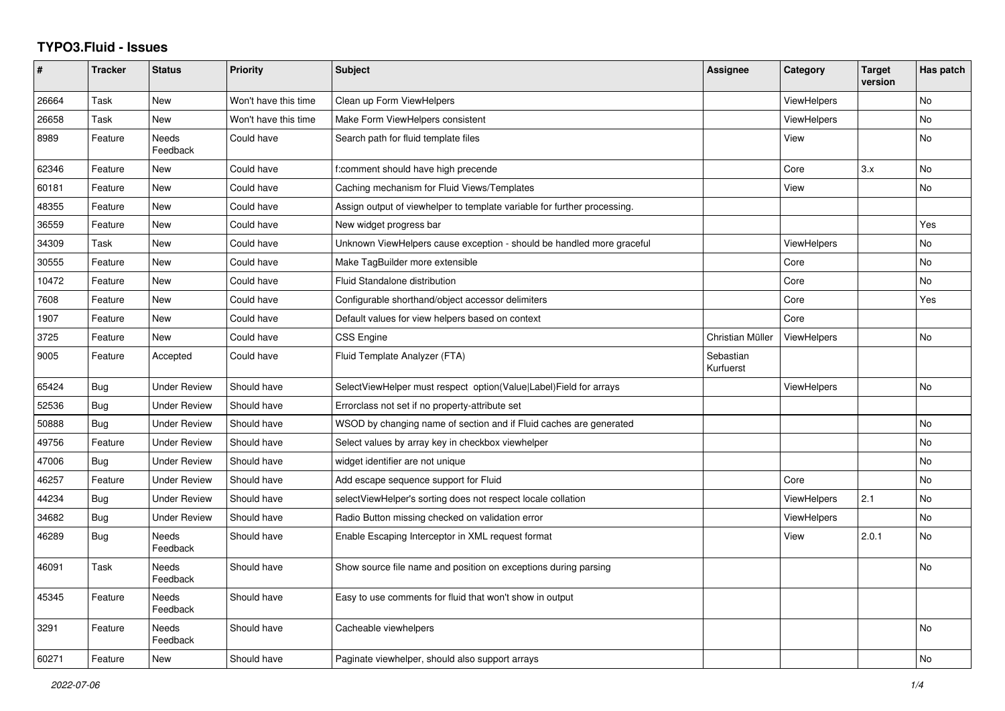## **TYPO3.Fluid - Issues**

| #     | <b>Tracker</b> | <b>Status</b>            | <b>Priority</b>      | <b>Subject</b>                                                           | Assignee               | Category           | <b>Target</b><br>version | Has patch |
|-------|----------------|--------------------------|----------------------|--------------------------------------------------------------------------|------------------------|--------------------|--------------------------|-----------|
| 26664 | Task           | New                      | Won't have this time | Clean up Form ViewHelpers                                                |                        | ViewHelpers        |                          | <b>No</b> |
| 26658 | Task           | <b>New</b>               | Won't have this time | Make Form ViewHelpers consistent                                         |                        | <b>ViewHelpers</b> |                          | <b>No</b> |
| 8989  | Feature        | <b>Needs</b><br>Feedback | Could have           | Search path for fluid template files                                     |                        | View               |                          | <b>No</b> |
| 62346 | Feature        | New                      | Could have           | f:comment should have high precende                                      |                        | Core               | 3.x                      | <b>No</b> |
| 60181 | Feature        | New                      | Could have           | Caching mechanism for Fluid Views/Templates                              |                        | View               |                          | No        |
| 48355 | Feature        | <b>New</b>               | Could have           | Assign output of viewhelper to template variable for further processing. |                        |                    |                          |           |
| 36559 | Feature        | <b>New</b>               | Could have           | New widget progress bar                                                  |                        |                    |                          | Yes       |
| 34309 | Task           | New                      | Could have           | Unknown ViewHelpers cause exception - should be handled more graceful    |                        | <b>ViewHelpers</b> |                          | <b>No</b> |
| 30555 | Feature        | New                      | Could have           | Make TagBuilder more extensible                                          |                        | Core               |                          | No        |
| 10472 | Feature        | New                      | Could have           | Fluid Standalone distribution                                            |                        | Core               |                          | No        |
| 7608  | Feature        | <b>New</b>               | Could have           | Configurable shorthand/object accessor delimiters                        |                        | Core               |                          | Yes       |
| 1907  | Feature        | <b>New</b>               | Could have           | Default values for view helpers based on context                         |                        | Core               |                          |           |
| 3725  | Feature        | New                      | Could have           | <b>CSS Engine</b>                                                        | Christian Müller       | <b>ViewHelpers</b> |                          | No        |
| 9005  | Feature        | Accepted                 | Could have           | Fluid Template Analyzer (FTA)                                            | Sebastian<br>Kurfuerst |                    |                          |           |
| 65424 | <b>Bug</b>     | Under Review             | Should have          | SelectViewHelper must respect option(Value Label)Field for arrays        |                        | <b>ViewHelpers</b> |                          | No        |
| 52536 | Bug            | <b>Under Review</b>      | Should have          | Errorclass not set if no property-attribute set                          |                        |                    |                          |           |
| 50888 | <b>Bug</b>     | <b>Under Review</b>      | Should have          | WSOD by changing name of section and if Fluid caches are generated       |                        |                    |                          | No        |
| 49756 | Feature        | <b>Under Review</b>      | Should have          | Select values by array key in checkbox viewhelper                        |                        |                    |                          | No        |
| 47006 | Bug            | <b>Under Review</b>      | Should have          | widget identifier are not unique                                         |                        |                    |                          | No        |
| 46257 | Feature        | <b>Under Review</b>      | Should have          | Add escape sequence support for Fluid                                    |                        | Core               |                          | <b>No</b> |
| 44234 | <b>Bug</b>     | <b>Under Review</b>      | Should have          | selectViewHelper's sorting does not respect locale collation             |                        | <b>ViewHelpers</b> | 2.1                      | <b>No</b> |
| 34682 | Bug            | Under Review             | Should have          | Radio Button missing checked on validation error                         |                        | <b>ViewHelpers</b> |                          | No        |
| 46289 | Bug            | Needs<br>Feedback        | Should have          | Enable Escaping Interceptor in XML request format                        |                        | View               | 2.0.1                    | <b>No</b> |
| 46091 | Task           | Needs<br>Feedback        | Should have          | Show source file name and position on exceptions during parsing          |                        |                    |                          | <b>No</b> |
| 45345 | Feature        | Needs<br>Feedback        | Should have          | Easy to use comments for fluid that won't show in output                 |                        |                    |                          |           |
| 3291  | Feature        | Needs<br>Feedback        | Should have          | Cacheable viewhelpers                                                    |                        |                    |                          | <b>No</b> |
| 60271 | Feature        | New                      | Should have          | Paginate viewhelper, should also support arrays                          |                        |                    |                          | No        |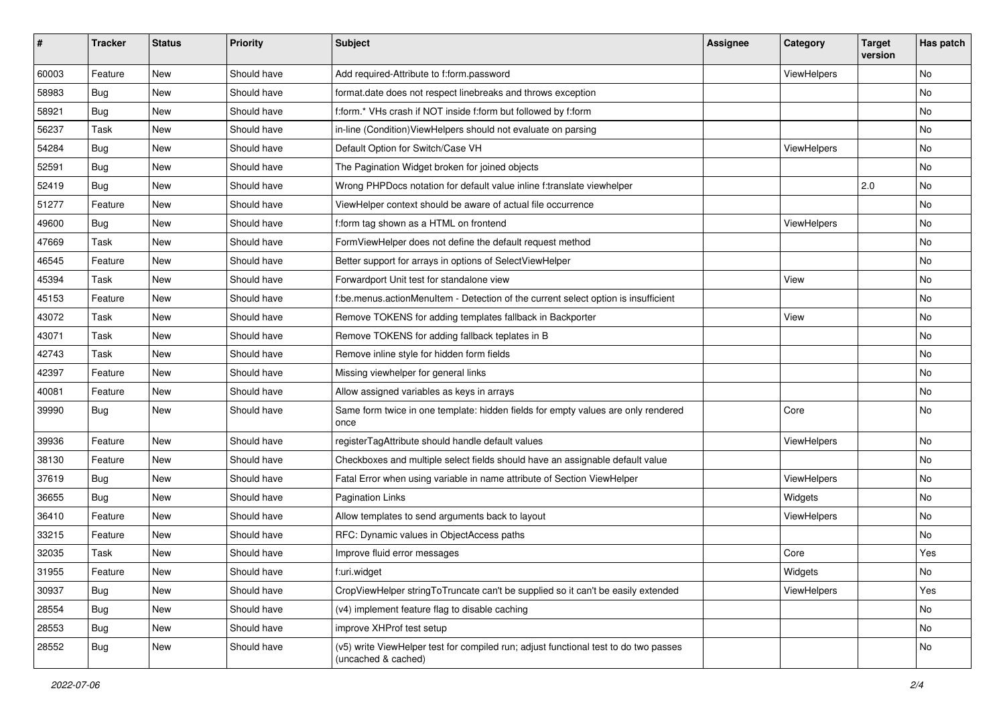| #     | <b>Tracker</b> | <b>Status</b> | <b>Priority</b> | <b>Subject</b>                                                                                              | <b>Assignee</b> | Category    | <b>Target</b><br>version | Has patch |
|-------|----------------|---------------|-----------------|-------------------------------------------------------------------------------------------------------------|-----------------|-------------|--------------------------|-----------|
| 60003 | Feature        | New           | Should have     | Add required-Attribute to f:form.password                                                                   |                 | ViewHelpers |                          | <b>No</b> |
| 58983 | Bug            | New           | Should have     | format.date does not respect linebreaks and throws exception                                                |                 |             |                          | No        |
| 58921 | Bug            | New           | Should have     | f:form.* VHs crash if NOT inside f:form but followed by f:form                                              |                 |             |                          | No        |
| 56237 | Task           | New           | Should have     | in-line (Condition) ViewHelpers should not evaluate on parsing                                              |                 |             |                          | No        |
| 54284 | Bug            | New           | Should have     | Default Option for Switch/Case VH                                                                           |                 | ViewHelpers |                          | No        |
| 52591 | Bug            | New           | Should have     | The Pagination Widget broken for joined objects                                                             |                 |             |                          | No        |
| 52419 | Bug            | New           | Should have     | Wrong PHPDocs notation for default value inline f:translate viewhelper                                      |                 |             | 2.0                      | No        |
| 51277 | Feature        | New           | Should have     | ViewHelper context should be aware of actual file occurrence                                                |                 |             |                          | No        |
| 49600 | Bug            | New           | Should have     | f:form tag shown as a HTML on frontend                                                                      |                 | ViewHelpers |                          | <b>No</b> |
| 47669 | Task           | New           | Should have     | FormViewHelper does not define the default request method                                                   |                 |             |                          | No        |
| 46545 | Feature        | New           | Should have     | Better support for arrays in options of SelectViewHelper                                                    |                 |             |                          | No        |
| 45394 | Task           | New           | Should have     | Forwardport Unit test for standalone view                                                                   |                 | View        |                          | No        |
| 45153 | Feature        | New           | Should have     | f:be.menus.actionMenuItem - Detection of the current select option is insufficient                          |                 |             |                          | No        |
| 43072 | Task           | New           | Should have     | Remove TOKENS for adding templates fallback in Backporter                                                   |                 | View        |                          | No        |
| 43071 | Task           | New           | Should have     | Remove TOKENS for adding fallback teplates in B                                                             |                 |             |                          | No        |
| 42743 | Task           | New           | Should have     | Remove inline style for hidden form fields                                                                  |                 |             |                          | No        |
| 42397 | Feature        | New           | Should have     | Missing viewhelper for general links                                                                        |                 |             |                          | No        |
| 40081 | Feature        | New           | Should have     | Allow assigned variables as keys in arrays                                                                  |                 |             |                          | No        |
| 39990 | Bug            | New           | Should have     | Same form twice in one template: hidden fields for empty values are only rendered<br>once                   |                 | Core        |                          | No        |
| 39936 | Feature        | New           | Should have     | registerTagAttribute should handle default values                                                           |                 | ViewHelpers |                          | No        |
| 38130 | Feature        | New           | Should have     | Checkboxes and multiple select fields should have an assignable default value                               |                 |             |                          | <b>No</b> |
| 37619 | Bug            | New           | Should have     | Fatal Error when using variable in name attribute of Section ViewHelper                                     |                 | ViewHelpers |                          | No        |
| 36655 | Bug            | New           | Should have     | <b>Pagination Links</b>                                                                                     |                 | Widgets     |                          | No        |
| 36410 | Feature        | New           | Should have     | Allow templates to send arguments back to layout                                                            |                 | ViewHelpers |                          | No        |
| 33215 | Feature        | New           | Should have     | RFC: Dynamic values in ObjectAccess paths                                                                   |                 |             |                          | No        |
| 32035 | Task           | New           | Should have     | Improve fluid error messages                                                                                |                 | Core        |                          | Yes       |
| 31955 | Feature        | New           | Should have     | f:uri.widget                                                                                                |                 | Widgets     |                          | No        |
| 30937 | Bug            | New           | Should have     | CropViewHelper stringToTruncate can't be supplied so it can't be easily extended                            |                 | ViewHelpers |                          | Yes       |
| 28554 | Bug            | New           | Should have     | (v4) implement feature flag to disable caching                                                              |                 |             |                          | No        |
| 28553 | Bug            | New           | Should have     | improve XHProf test setup                                                                                   |                 |             |                          | No        |
| 28552 | <b>Bug</b>     | New           | Should have     | (v5) write ViewHelper test for compiled run; adjust functional test to do two passes<br>(uncached & cached) |                 |             |                          | No        |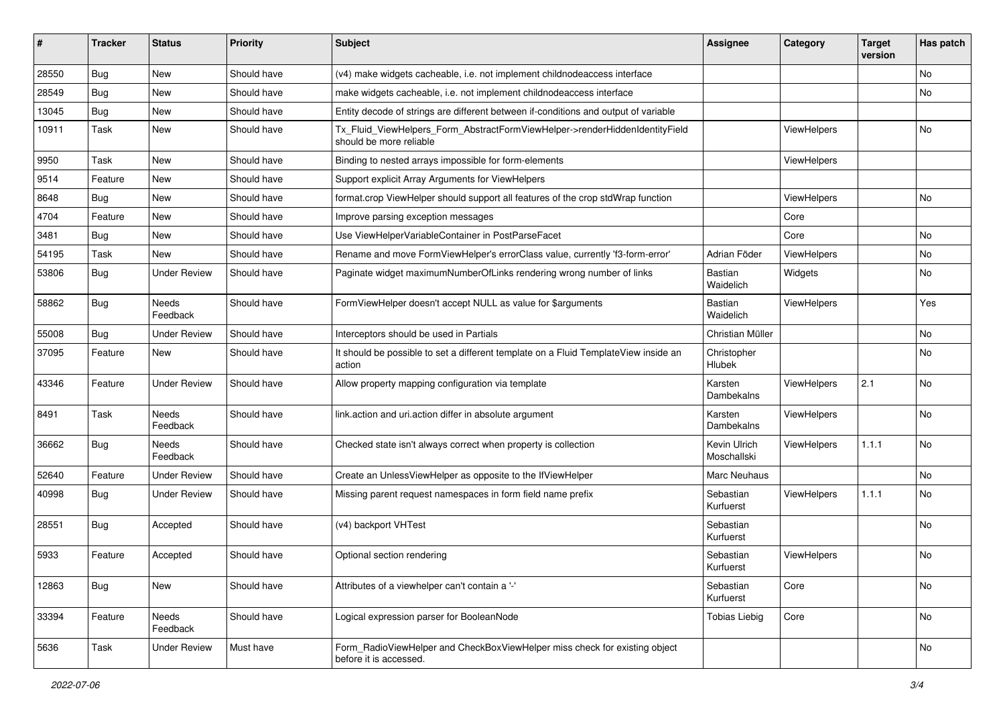| ∦     | <b>Tracker</b> | <b>Status</b>            | <b>Priority</b> | <b>Subject</b>                                                                                         | <b>Assignee</b>             | Category    | <b>Target</b><br>version | Has patch |
|-------|----------------|--------------------------|-----------------|--------------------------------------------------------------------------------------------------------|-----------------------------|-------------|--------------------------|-----------|
| 28550 | Bug            | New                      | Should have     | (v4) make widgets cacheable, i.e. not implement childnodeaccess interface                              |                             |             |                          | <b>No</b> |
| 28549 | Bug            | New                      | Should have     | make widgets cacheable, i.e. not implement childnodeaccess interface                                   |                             |             |                          | No        |
| 13045 | Bug            | New                      | Should have     | Entity decode of strings are different between if-conditions and output of variable                    |                             |             |                          |           |
| 10911 | Task           | New                      | Should have     | Tx_Fluid_ViewHelpers_Form_AbstractFormViewHelper->renderHiddenIdentityField<br>should be more reliable |                             | ViewHelpers |                          | No        |
| 9950  | Task           | New                      | Should have     | Binding to nested arrays impossible for form-elements                                                  |                             | ViewHelpers |                          |           |
| 9514  | Feature        | New                      | Should have     | Support explicit Array Arguments for ViewHelpers                                                       |                             |             |                          |           |
| 8648  | Bug            | New                      | Should have     | format.crop ViewHelper should support all features of the crop stdWrap function                        |                             | ViewHelpers |                          | No        |
| 4704  | Feature        | New                      | Should have     | Improve parsing exception messages                                                                     |                             | Core        |                          |           |
| 3481  | Bug            | New                      | Should have     | Use ViewHelperVariableContainer in PostParseFacet                                                      |                             | Core        |                          | No        |
| 54195 | Task           | New                      | Should have     | Rename and move FormViewHelper's errorClass value, currently 'f3-form-error'                           | Adrian Föder                | ViewHelpers |                          | No        |
| 53806 | Bug            | <b>Under Review</b>      | Should have     | Paginate widget maximumNumberOfLinks rendering wrong number of links                                   | <b>Bastian</b><br>Waidelich | Widgets     |                          | No        |
| 58862 | Bug            | <b>Needs</b><br>Feedback | Should have     | FormViewHelper doesn't accept NULL as value for \$arguments                                            | Bastian<br>Waidelich        | ViewHelpers |                          | Yes       |
| 55008 | Bug            | <b>Under Review</b>      | Should have     | Interceptors should be used in Partials                                                                | Christian Müller            |             |                          | No        |
| 37095 | Feature        | New                      | Should have     | It should be possible to set a different template on a Fluid TemplateView inside an<br>action          | Christopher<br>Hlubek       |             |                          | No        |
| 43346 | Feature        | <b>Under Review</b>      | Should have     | Allow property mapping configuration via template                                                      | Karsten<br>Dambekalns       | ViewHelpers | 2.1                      | No        |
| 8491  | Task           | <b>Needs</b><br>Feedback | Should have     | link.action and uri.action differ in absolute argument                                                 | Karsten<br>Dambekalns       | ViewHelpers |                          | No        |
| 36662 | Bug            | Needs<br>Feedback        | Should have     | Checked state isn't always correct when property is collection                                         | Kevin Ulrich<br>Moschallski | ViewHelpers | 1.1.1                    | <b>No</b> |
| 52640 | Feature        | <b>Under Review</b>      | Should have     | Create an UnlessViewHelper as opposite to the IfViewHelper                                             | Marc Neuhaus                |             |                          | No        |
| 40998 | Bug            | <b>Under Review</b>      | Should have     | Missing parent request namespaces in form field name prefix                                            | Sebastian<br>Kurfuerst      | ViewHelpers | 1.1.1                    | No        |
| 28551 | <b>Bug</b>     | Accepted                 | Should have     | (v4) backport VHTest                                                                                   | Sebastian<br>Kurfuerst      |             |                          | No        |
| 5933  | Feature        | Accepted                 | Should have     | Optional section rendering                                                                             | Sebastian<br>Kurfuerst      | ViewHelpers |                          | <b>No</b> |
| 12863 | Bug            | New                      | Should have     | Attributes of a viewhelper can't contain a '-'                                                         | Sebastian<br>Kurfuerst      | Core        |                          | No        |
| 33394 | Feature        | Needs<br>Feedback        | Should have     | Logical expression parser for BooleanNode                                                              | <b>Tobias Liebig</b>        | Core        |                          | No        |
| 5636  | Task           | <b>Under Review</b>      | Must have       | Form_RadioViewHelper and CheckBoxViewHelper miss check for existing object<br>before it is accessed.   |                             |             |                          | No        |